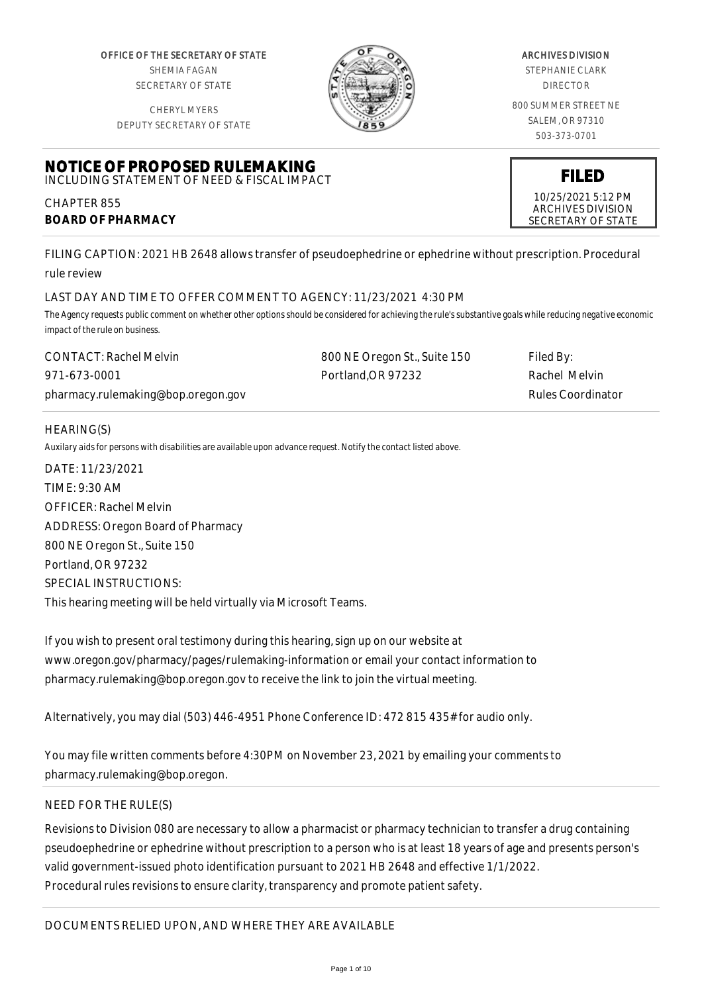OFFICE OF THE SECRETARY OF STATE SHEMIA FAGAN SECRETARY OF STATE

CHERYL MYERS



#### ARCHIVES DIVISION

STEPHANIE CLARK DIRECTOR

800 SUMMER STREET NE SALEM, OR 97310 503-373-0701

DEPUTY SECRETARY OF STATE

#### **NOTICE OF PROPOSED RULEMAKING** INCLUDING STATEMENT OF NEED & FISCAL IMPACT

CHAPTER 855 **BOARD OF PHARMACY**

FILING CAPTION: 2021 HB 2648 allows transfer of pseudoephedrine or ephedrine without prescription. Procedural rule review

# LAST DAY AND TIME TO OFFER COMMENT TO AGENCY: 11/23/2021 4:30 PM

*The Agency requests public comment on whether other options should be considered for achieving the rule's substantive goals while reducing negative economic impact of the rule on business.*

| <b>CONTACT: Rachel Melvin</b>      | 800 NE Oregon St., Suite 150 | Filed By:         |
|------------------------------------|------------------------------|-------------------|
| 971-673-0001                       | Portland.OR 97232            | Rachel Melvin     |
| pharmacy.rulemaking@bop.oregon.gov |                              | Rules Coordinator |

# HEARING(S)

*Auxilary aids for persons with disabilities are available upon advance request. Notify the contact listed above.*

DATE: 11/23/2021 TIME: 9:30 AM OFFICER: Rachel Melvin ADDRESS: Oregon Board of Pharmacy 800 NE Oregon St., Suite 150 Portland, OR 97232 SPECIAL INSTRUCTIONS: This hearing meeting will be held virtually via Microsoft Teams.

If you wish to present oral testimony during this hearing, sign up on our website at www.oregon.gov/pharmacy/pages/rulemaking-information or email your contact information to pharmacy.rulemaking@bop.oregon.gov to receive the link to join the virtual meeting.

Alternatively, you may dial (503) 446-4951 Phone Conference ID: 472 815 435# for audio only.

You may file written comments before 4:30PM on November 23, 2021 by emailing your comments to pharmacy.rulemaking@bop.oregon.

# NEED FOR THE RULE(S)

Revisions to Division 080 are necessary to allow a pharmacist or pharmacy technician to transfer a drug containing pseudoephedrine or ephedrine without prescription to a person who is at least 18 years of age and presents person's valid government-issued photo identification pursuant to 2021 HB 2648 and effective 1/1/2022. Procedural rules revisions to ensure clarity, transparency and promote patient safety.

10/25/2021 5:12 PM ARCHIVES DIVISION SECRETARY OF STATE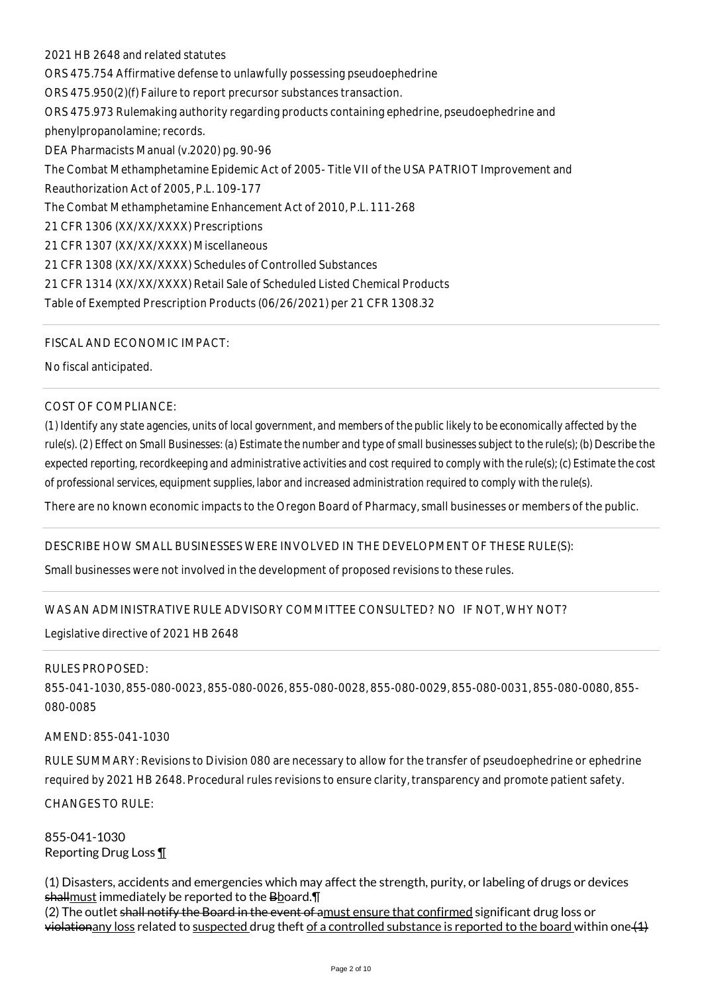2021 HB 2648 and related statutes ORS 475.754 Affirmative defense to unlawfully possessing pseudoephedrine ORS 475.950(2)(f) Failure to report precursor substances transaction. ORS 475.973 Rulemaking authority regarding products containing ephedrine, pseudoephedrine and phenylpropanolamine; records. DEA Pharmacists Manual (v.2020) pg. 90-96 The Combat Methamphetamine Epidemic Act of 2005- Title VII of the USA PATRIOT Improvement and Reauthorization Act of 2005, P.L. 109-177 The Combat Methamphetamine Enhancement Act of 2010, P.L. 111-268 21 CFR 1306 (XX/XX/XXXX) Prescriptions 21 CFR 1307 (XX/XX/XXXX) Miscellaneous 21 CFR 1308 (XX/XX/XXXX) Schedules of Controlled Substances 21 CFR 1314 (XX/XX/XXXX) Retail Sale of Scheduled Listed Chemical Products Table of Exempted Prescription Products (06/26/2021) per 21 CFR 1308.32

FISCAL AND ECONOMIC IMPACT:

No fiscal anticipated.

## COST OF COMPLIANCE:

*(1) Identify any state agencies, units of local government, and members of the public likely to be economically affected by the rule(s). (2) Effect on Small Businesses: (a) Estimate the number and type of small businesses subject to the rule(s); (b) Describe the expected reporting, recordkeeping and administrative activities and cost required to comply with the rule(s); (c) Estimate the cost of professional services, equipment supplies, labor and increased administration required to comply with the rule(s).*

There are no known economic impacts to the Oregon Board of Pharmacy, small businesses or members of the public.

#### DESCRIBE HOW SMALL BUSINESSES WERE INVOLVED IN THE DEVELOPMENT OF THESE RULE(S):

Small businesses were not involved in the development of proposed revisions to these rules.

# WAS AN ADMINISTRATIVE RULE ADVISORY COMMITTEE CONSULTED? NO IF NOT, WHY NOT?

Legislative directive of 2021 HB 2648

#### RULES PROPOSED:

855-041-1030, 855-080-0023, 855-080-0026, 855-080-0028, 855-080-0029, 855-080-0031, 855-080-0080, 855- 080-0085

#### AMEND: 855-041-1030

RULE SUMMARY: Revisions to Division 080 are necessary to allow for the transfer of pseudoephedrine or ephedrine required by 2021 HB 2648. Procedural rules revisions to ensure clarity, transparency and promote patient safety. CHANGES TO RULE:

855-041-1030 Reporting Drug Loss ¶

(1) Disasters, accidents and emergencies which may affect the strength, purity, or labeling of drugs or devices shallmust immediately be reported to the Bboard. The (2) The outlet shall notify the Board in the event of amust ensure that confirmed significant drug loss or

violationany loss related to suspected drug theft of a controlled substance is reported to the board within one  $(1)$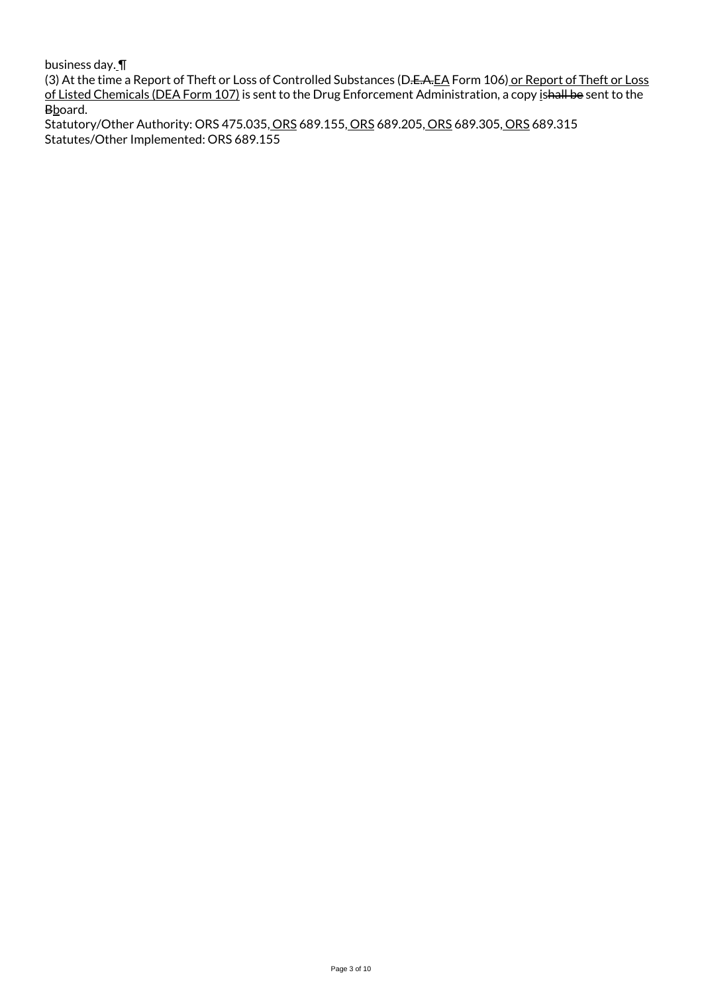business day. ¶

(3) At the time a Report of Theft or Loss of Controlled Substances (D.<del>E.A.EA</del> Form 106) or Report of Theft or Loss of Listed Chemicals (DEA Form 107) is sent to the Drug Enforcement Administration, a copy ishall be sent to the Bboard.

Statutory/Other Authority: ORS 475.035, ORS 689.155, ORS 689.205, ORS 689.305, ORS 689.315 Statutes/Other Implemented: ORS 689.155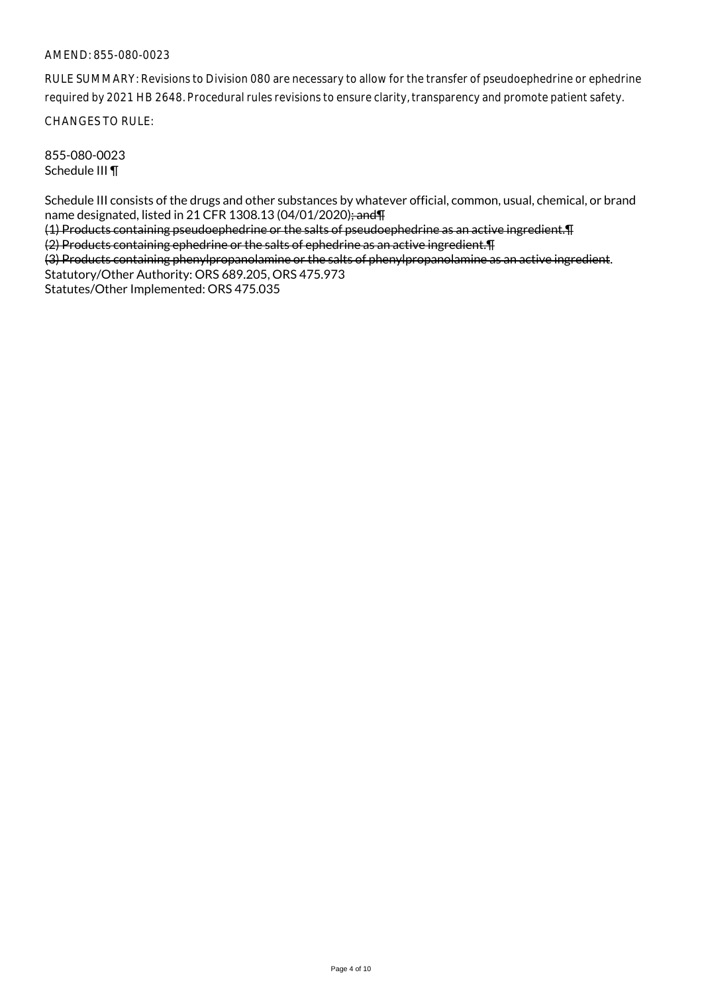RULE SUMMARY: Revisions to Division 080 are necessary to allow for the transfer of pseudoephedrine or ephedrine required by 2021 HB 2648. Procedural rules revisions to ensure clarity, transparency and promote patient safety.

CHANGES TO RULE:

855-080-0023 Schedule III ¶

Schedule III consists of the drugs and other substances by whatever official, common, usual, chemical, or brand name designated, listed in 21 CFR 1308.13 (04/01/2020); and T

(1) Products containing pseudoephedrine or the salts of pseudoephedrine as an active ingredient.¶ (2) Products containing ephedrine or the salts of ephedrine as an active ingredient.¶

(3) Products containing phenylpropanolamine or the salts of phenylpropanolamine as an active ingredient. Statutory/Other Authority: ORS 689.205, ORS 475.973

Statutes/Other Implemented: ORS 475.035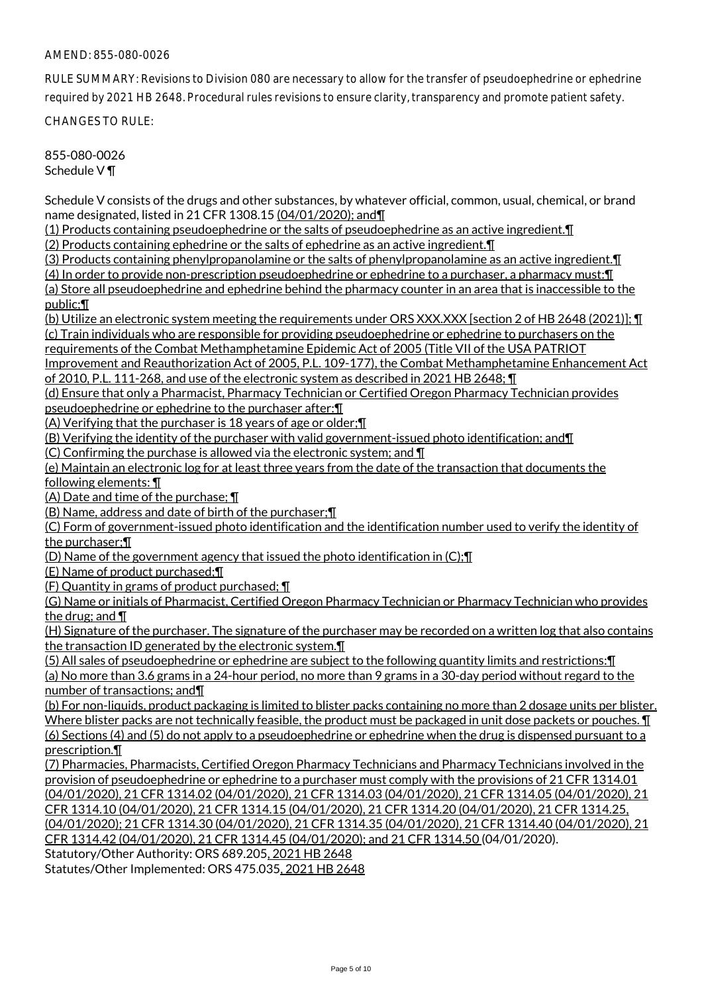RULE SUMMARY: Revisions to Division 080 are necessary to allow for the transfer of pseudoephedrine or ephedrine required by 2021 HB 2648. Procedural rules revisions to ensure clarity, transparency and promote patient safety.

CHANGES TO RULE:

855-080-0026 Schedule V ¶

Schedule V consists of the drugs and other substances, by whatever official, common, usual, chemical, or brand name designated, listed in 21 CFR 1308.15 (04/01/2020); and¶

(1) Products containing pseudoephedrine or the salts of pseudoephedrine as an active ingredient.¶

(2) Products containing ephedrine or the salts of ephedrine as an active ingredient.¶

(3) Products containing phenylpropanolamine or the salts of phenylpropanolamine as an active ingredient.¶

(4) In order to provide non-prescription pseudoephedrine or ephedrine to a purchaser, a pharmacy must:¶

(a) Store all pseudoephedrine and ephedrine behind the pharmacy counter in an area that is inaccessible to the public;¶

(b) Utilize an electronic system meeting the requirements under ORS XXX.XXX [section 2 of HB 2648 (2021)]; ¶ (c) Train individuals who are responsible for providing pseudoephedrine or ephedrine to purchasers on the

requirements of the Combat Methamphetamine Epidemic Act of 2005 (Title VII of the USA PATRIOT

Improvement and Reauthorization Act of 2005, P.L. 109-177), the Combat Methamphetamine Enhancement Act of 2010, P.L. 111-268, and use of the electronic system as described in 2021 HB 2648; ¶

(d) Ensure that only a Pharmacist, Pharmacy Technician or Certified Oregon Pharmacy Technician provides pseudoephedrine or ephedrine to the purchaser after:¶

(A) Verifying that the purchaser is 18 years of age or older;¶

(B) Verifying the identity of the purchaser with valid government-issued photo identification; and¶

(C) Confirming the purchase is allowed via the electronic system; and ¶

(e) Maintain an electronic log for at least three years from the date of the transaction that documents the following elements: ¶

(A) Date and time of the purchase; ¶

(B) Name, address and date of birth of the purchaser;¶

(C) Form of government-issued photo identification and the identification number used to verify the identity of the purchaser;¶

(D) Name of the government agency that issued the photo identification in (C);¶

(E) Name of product purchased;¶

(F) Quantity in grams of product purchased; ¶

(G) Name or initials of Pharmacist, Certified Oregon Pharmacy Technician or Pharmacy Technician who provides the drug; and ¶

(H) Signature of the purchaser. The signature of the purchaser may be recorded on a written log that also contains the transaction ID generated by the electronic system.¶

(5) All sales of pseudoephedrine or ephedrine are subject to the following quantity limits and restrictions:¶

(a) No more than 3.6 grams in a 24-hour period, no more than 9 grams in a 30-day period without regard to the number of transactions; and¶

(b) For non-liquids, product packaging is limited to blister packs containing no more than 2 dosage units per blister. Where blister packs are not technically feasible, the product must be packaged in unit dose packets or pouches.  $\P$ (6) Sections (4) and (5) do not apply to a pseudoephedrine or ephedrine when the drug is dispensed pursuant to a prescription.¶

(7) Pharmacies, Pharmacists, Certified Oregon Pharmacy Technicians and Pharmacy Technicians involved in the provision of pseudoephedrine or ephedrine to a purchaser must comply with the provisions of 21 CFR 1314.01 (04/01/2020), 21 CFR 1314.02 (04/01/2020), 21 CFR 1314.03 (04/01/2020), 21 CFR 1314.05 (04/01/2020), 21 CFR 1314.10 (04/01/2020), 21 CFR 1314.15 (04/01/2020), 21 CFR 1314.20 (04/01/2020), 21 CFR 1314.25, (04/01/2020); 21 CFR 1314.30 (04/01/2020), 21 CFR 1314.35 (04/01/2020), 21 CFR 1314.40 (04/01/2020), 21 CFR 1314.42 (04/01/2020), 21 CFR 1314.45 (04/01/2020); and 21 CFR 1314.50 (04/01/2020). Statutory/Other Authority: ORS 689.205, 2021 HB 2648

Statutes/Other Implemented: ORS 475.035, 2021 HB 2648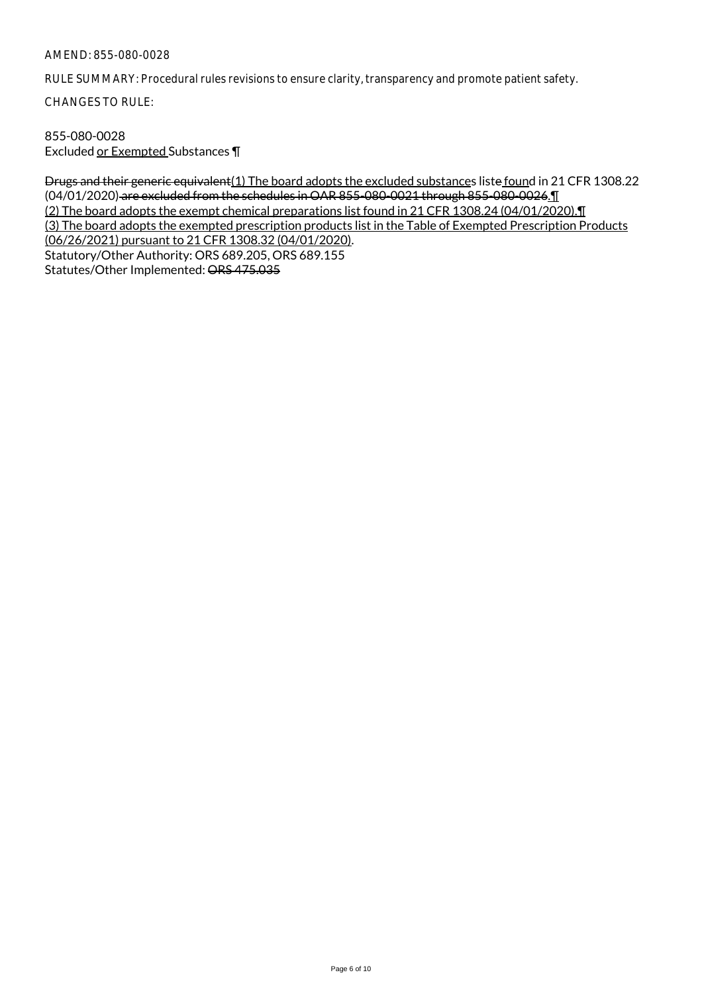RULE SUMMARY: Procedural rules revisions to ensure clarity, transparency and promote patient safety.

CHANGES TO RULE:

## 855-080-0028 Excluded or Exempted Substances ¶

Drugs and their generic equivalent(1) The board adopts the excluded substances liste found in 21 CFR 1308.22 (04/01/2020) are excluded from the schedules in OAR 855-080-0021 through 855-080-0026.¶ (2) The board adopts the exempt chemical preparations list found in 21 CFR 1308.24 (04/01/2020).¶ (3) The board adopts the exempted prescription products list in the Table of Exempted Prescription Products (06/26/2021) pursuant to 21 CFR 1308.32 (04/01/2020). Statutory/Other Authority: ORS 689.205, ORS 689.155 Statutes/Other Implemented: ORS 475.035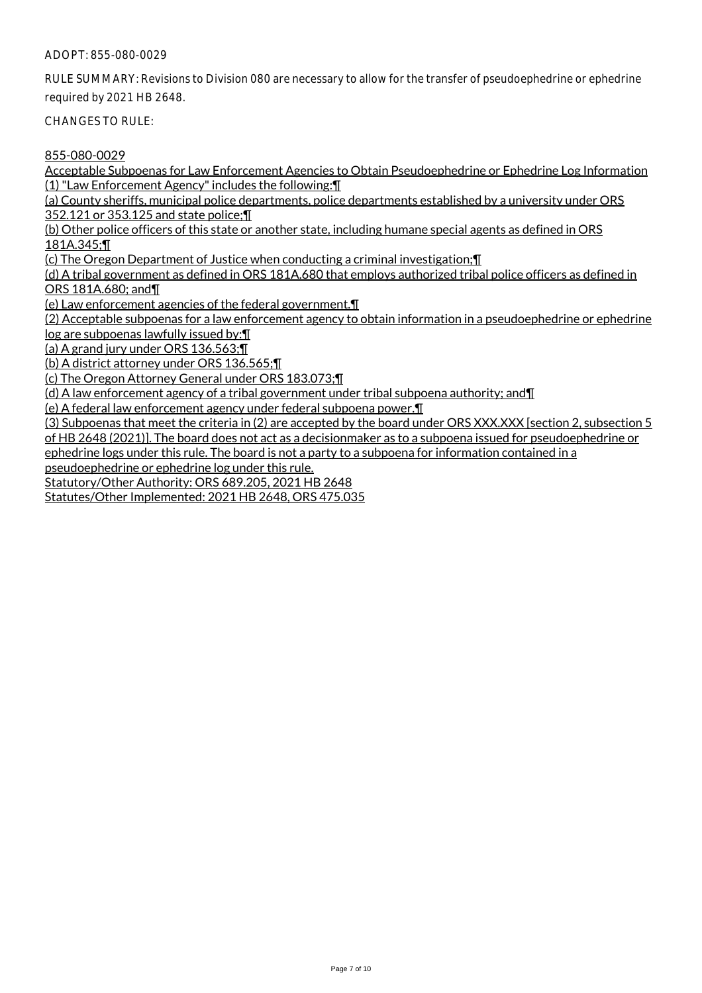## ADOPT: 855-080-0029

RULE SUMMARY: Revisions to Division 080 are necessary to allow for the transfer of pseudoephedrine or ephedrine required by 2021 HB 2648.

CHANGES TO RULE:

855-080-0029

Acceptable Subpoenas for Law Enforcement Agencies to Obtain Pseudoephedrine or Ephedrine Log Information (1) "Law Enforcement Agency" includes the following:¶

(a) County sheriffs, municipal police departments, police departments established by a university under ORS 352.121 or 353.125 and state police;¶

(b) Other police officers of this state or another state, including humane special agents as defined in ORS 181A.345;¶

(c) The Oregon Department of Justice when conducting a criminal investigation;¶

(d) A tribal government as defined in ORS 181A.680 that employs authorized tribal police officers as defined in ORS 181A.680; and¶

(e) Law enforcement agencies of the federal government.¶

(2) Acceptable subpoenas for a law enforcement agency to obtain information in a pseudoephedrine or ephedrine log are subpoenas lawfully issued by:¶

(a) A grand jury under ORS 136.563;¶

(b) A district attorney under ORS 136.565;¶

(c) The Oregon Attorney General under ORS 183.073;¶

(d) A law enforcement agency of a tribal government under tribal subpoena authority; and¶

(e) A federal law enforcement agency under federal subpoena power.¶

(3) Subpoenas that meet the criteria in (2) are accepted by the board under ORS XXX.XXX [section 2, subsection 5 of HB 2648 (2021)]. The board does not act as a decisionmaker as to a subpoena issued for pseudoephedrine or ephedrine logs under this rule. The board is not a party to a subpoena for information contained in a

pseudoephedrine or ephedrine log under this rule.

Statutory/Other Authority: ORS 689.205, 2021 HB 2648

Statutes/Other Implemented: 2021 HB 2648, ORS 475.035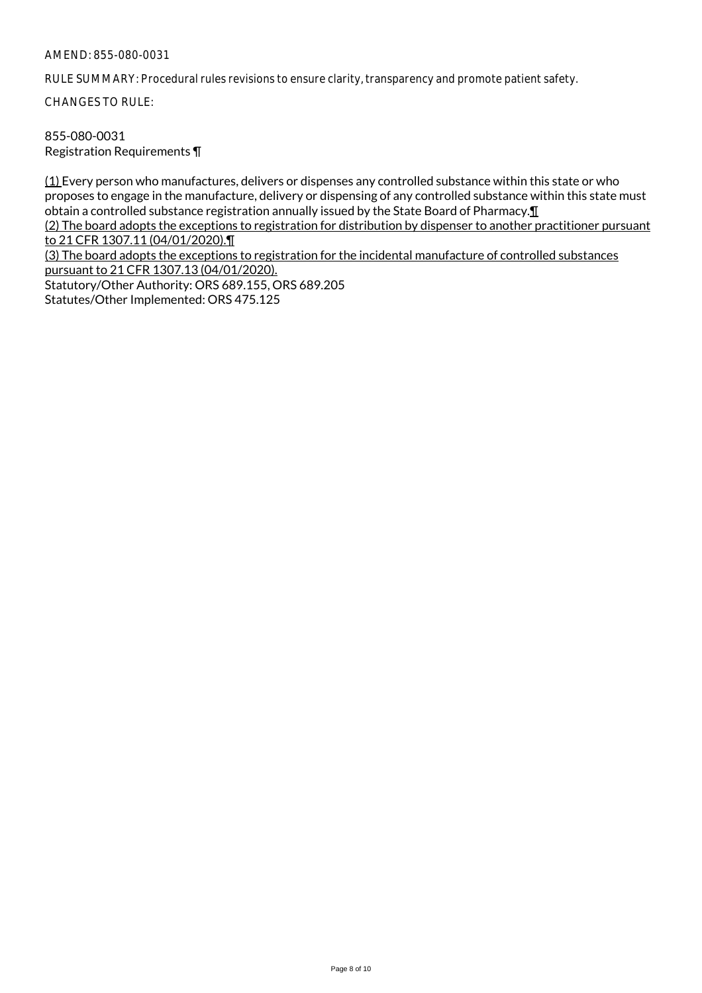RULE SUMMARY: Procedural rules revisions to ensure clarity, transparency and promote patient safety.

CHANGES TO RULE:

855-080-0031 Registration Requirements ¶

(1) Every person who manufactures, delivers or dispenses any controlled substance within this state or who proposes to engage in the manufacture, delivery or dispensing of any controlled substance within this state must obtain a controlled substance registration annually issued by the State Board of Pharmacy.¶ (2) The board adopts the exceptions to registration for distribution by dispenser to another practitioner pursuant

to 21 CFR 1307.11 (04/01/2020).¶

(3) The board adopts the exceptions to registration for the incidental manufacture of controlled substances pursuant to 21 CFR 1307.13 (04/01/2020).

Statutory/Other Authority: ORS 689.155, ORS 689.205 Statutes/Other Implemented: ORS 475.125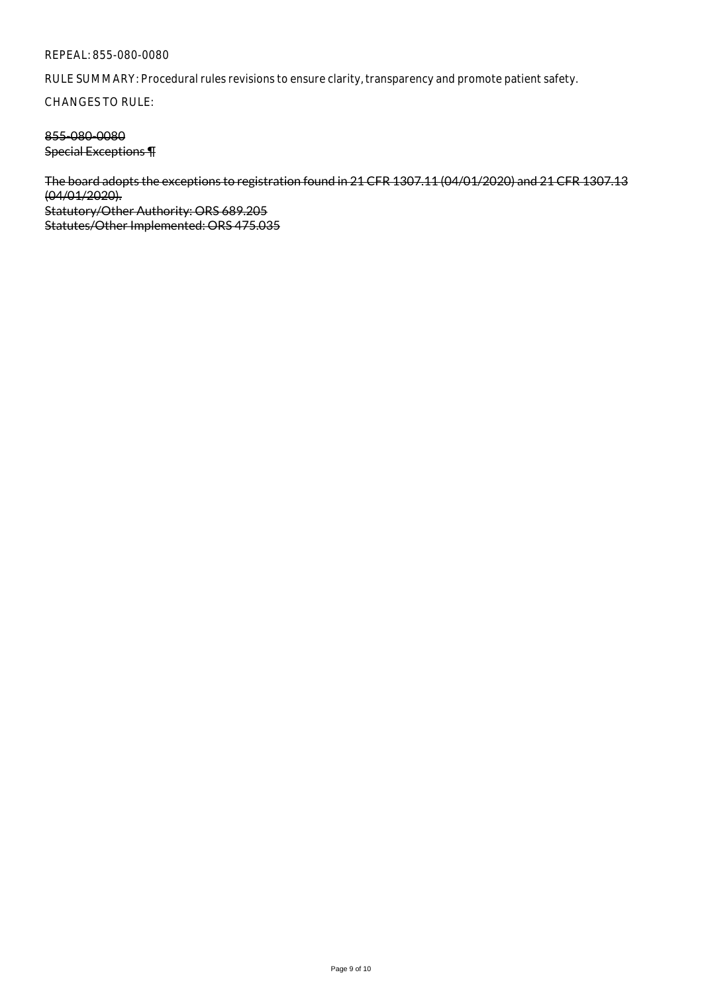#### REPEAL: 855-080-0080

RULE SUMMARY: Procedural rules revisions to ensure clarity, transparency and promote patient safety.

CHANGES TO RULE:

## 855-080-0080 Special Exceptions ¶

The board adopts the exceptions to registration found in 21 CFR 1307.11 (04/01/2020) and 21 CFR 1307.13 (04/01/2020). Statutory/Other Authority: ORS 689.205 Statutes/Other Implemented: ORS 475.035